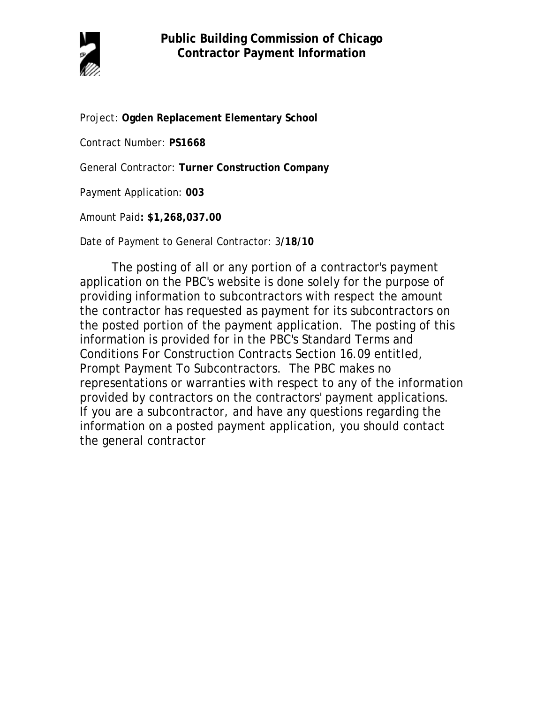

Project: **Ogden Replacement Elementary School**

Contract Number: **PS1668**

General Contractor: **Turner Construction Company**

Payment Application: **003**

Amount Paid**: \$1,268,037.00** 

Date of Payment to General Contractor: 3**/18/10**

The posting of all or any portion of a contractor's payment application on the PBC's website is done solely for the purpose of providing information to subcontractors with respect the amount the contractor has requested as payment for its subcontractors on the posted portion of the payment application. The posting of this information is provided for in the PBC's Standard Terms and Conditions For Construction Contracts Section 16.09 entitled, Prompt Payment To Subcontractors. The PBC makes no representations or warranties with respect to any of the information provided by contractors on the contractors' payment applications. If you are a subcontractor, and have any questions regarding the information on a posted payment application, you should contact the general contractor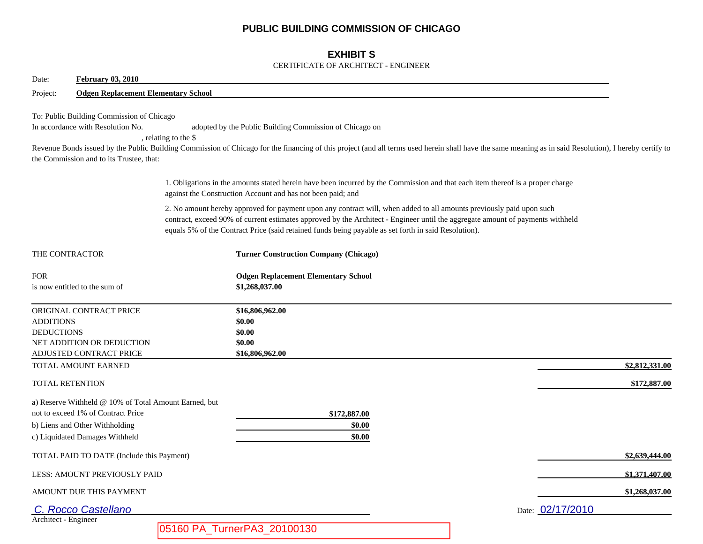## **PUBLIC BUILDING COMMISSION OF CHICAGO**

## **EXHIBIT S**

### CERTIFICATE OF ARCHITECT - ENGINEER

| <b>February 03, 2010</b><br>Date:                                                                                                                               |                                                                                                                                                                                                                                                                                                                                                                |                                                                                                                                                                                                        |
|-----------------------------------------------------------------------------------------------------------------------------------------------------------------|----------------------------------------------------------------------------------------------------------------------------------------------------------------------------------------------------------------------------------------------------------------------------------------------------------------------------------------------------------------|--------------------------------------------------------------------------------------------------------------------------------------------------------------------------------------------------------|
| Project:<br><b>Odgen Replacement Elementary School</b>                                                                                                          |                                                                                                                                                                                                                                                                                                                                                                |                                                                                                                                                                                                        |
| To: Public Building Commission of Chicago<br>In accordance with Resolution No.<br>, relating to the \$<br>the Commission and to its Trustee, that:              | adopted by the Public Building Commission of Chicago on                                                                                                                                                                                                                                                                                                        | Revenue Bonds issued by the Public Building Commission of Chicago for the financing of this project (and all terms used herein shall have the same meaning as in said Resolution), I hereby certify to |
|                                                                                                                                                                 | 1. Obligations in the amounts stated herein have been incurred by the Commission and that each item thereof is a proper charge<br>against the Construction Account and has not been paid; and                                                                                                                                                                  |                                                                                                                                                                                                        |
|                                                                                                                                                                 | 2. No amount hereby approved for payment upon any contract will, when added to all amounts previously paid upon such<br>contract, exceed 90% of current estimates approved by the Architect - Engineer until the aggregate amount of payments withheld<br>equals 5% of the Contract Price (said retained funds being payable as set forth in said Resolution). |                                                                                                                                                                                                        |
| THE CONTRACTOR                                                                                                                                                  | <b>Turner Construction Company (Chicago)</b>                                                                                                                                                                                                                                                                                                                   |                                                                                                                                                                                                        |
| <b>FOR</b><br>is now entitled to the sum of                                                                                                                     | <b>Odgen Replacement Elementary School</b><br>\$1,268,037.00                                                                                                                                                                                                                                                                                                   |                                                                                                                                                                                                        |
| ORIGINAL CONTRACT PRICE<br><b>ADDITIONS</b><br><b>DEDUCTIONS</b><br>NET ADDITION OR DEDUCTION<br>ADJUSTED CONTRACT PRICE                                        | \$16,806,962.00<br>\$0.00<br>\$0.00<br>\$0.00<br>\$16,806,962.00                                                                                                                                                                                                                                                                                               |                                                                                                                                                                                                        |
| TOTAL AMOUNT EARNED                                                                                                                                             |                                                                                                                                                                                                                                                                                                                                                                | \$2,812,331.00                                                                                                                                                                                         |
| <b>TOTAL RETENTION</b>                                                                                                                                          |                                                                                                                                                                                                                                                                                                                                                                | \$172,887.00                                                                                                                                                                                           |
| a) Reserve Withheld @ 10% of Total Amount Earned, but<br>not to exceed 1% of Contract Price<br>b) Liens and Other Withholding<br>c) Liquidated Damages Withheld | \$172,887.00<br>\$0.00<br>\$0.00                                                                                                                                                                                                                                                                                                                               |                                                                                                                                                                                                        |
| TOTAL PAID TO DATE (Include this Payment)                                                                                                                       |                                                                                                                                                                                                                                                                                                                                                                | \$2,639,444.00                                                                                                                                                                                         |
| LESS: AMOUNT PREVIOUSLY PAID                                                                                                                                    |                                                                                                                                                                                                                                                                                                                                                                | \$1,371,407.00                                                                                                                                                                                         |
| AMOUNT DUE THIS PAYMENT                                                                                                                                         |                                                                                                                                                                                                                                                                                                                                                                | \$1,268,037.00                                                                                                                                                                                         |
| C. Rocco Castellano                                                                                                                                             |                                                                                                                                                                                                                                                                                                                                                                | Date: 02/17/2010                                                                                                                                                                                       |
| Architect - Engineer                                                                                                                                            | 05160 PA_TurnerPA3_20100130                                                                                                                                                                                                                                                                                                                                    |                                                                                                                                                                                                        |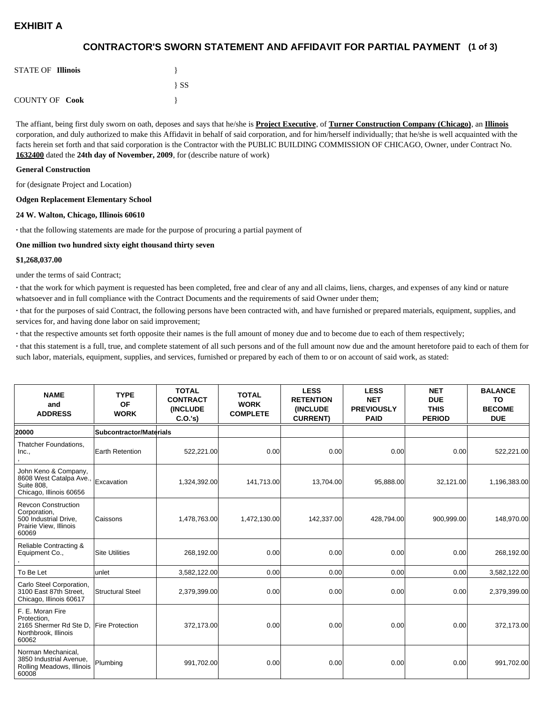# **EXHIBIT A**

## **(1 of 3) CONTRACTOR'S SWORN STATEMENT AND AFFIDAVIT FOR PARTIAL PAYMENT**

| <b>STATE OF Illinois</b> |          |
|--------------------------|----------|
|                          | $\{SS\}$ |
| <b>COUNTY OF Cook</b>    |          |

The affiant, being first duly sworn on oath, deposes and says that he/she is **Project Executive**, of **Turner Construction Company (Chicago)**, an **Illinois** corporation, and duly authorized to make this Affidavit in behalf of said corporation, and for him/herself individually; that he/she is well acquainted with the facts herein set forth and that said corporation is the Contractor with the PUBLIC BUILDING COMMISSION OF CHICAGO, Owner, under Contract No. **1632400** dated the **24th day of November, 2009**, for (describe nature of work)

#### **General Construction**

for (designate Project and Location)

#### **Odgen Replacement Elementary School**

#### **24 W. Walton, Chicago, Illinois 60610**

**·** that the following statements are made for the purpose of procuring a partial payment of

#### **One million two hundred sixty eight thousand thirty seven**

#### **\$1,268,037.00**

under the terms of said Contract;

**·** that the work for which payment is requested has been completed, free and clear of any and all claims, liens, charges, and expenses of any kind or nature whatsoever and in full compliance with the Contract Documents and the requirements of said Owner under them;

**·** that for the purposes of said Contract, the following persons have been contracted with, and have furnished or prepared materials, equipment, supplies, and services for, and having done labor on said improvement;

**·** that the respective amounts set forth opposite their names is the full amount of money due and to become due to each of them respectively;

**·** that this statement is a full, true, and complete statement of all such persons and of the full amount now due and the amount heretofore paid to each of them for such labor, materials, equipment, supplies, and services, furnished or prepared by each of them to or on account of said work, as stated:

| <b>NAME</b><br>and<br><b>ADDRESS</b>                                                                   | <b>TYPE</b><br><b>OF</b><br><b>WORK</b> | <b>TOTAL</b><br><b>CONTRACT</b><br><b>(INCLUDE)</b><br>C.0.'s) | <b>TOTAL</b><br><b>WORK</b><br><b>COMPLETE</b> | <b>LESS</b><br><b>RETENTION</b><br><b>(INCLUDE)</b><br><b>CURRENT)</b> | <b>LESS</b><br><b>NET</b><br><b>PREVIOUSLY</b><br><b>PAID</b> | <b>NET</b><br><b>DUE</b><br><b>THIS</b><br><b>PERIOD</b> | <b>BALANCE</b><br><b>TO</b><br><b>BECOME</b><br><b>DUE</b> |
|--------------------------------------------------------------------------------------------------------|-----------------------------------------|----------------------------------------------------------------|------------------------------------------------|------------------------------------------------------------------------|---------------------------------------------------------------|----------------------------------------------------------|------------------------------------------------------------|
| 20000                                                                                                  | <b>Subcontractor/Materials</b>          |                                                                |                                                |                                                                        |                                                               |                                                          |                                                            |
| Thatcher Foundations,<br>Inc.,                                                                         | Earth Retention                         | 522,221.00                                                     | 0.00                                           | 0.00                                                                   | 0.00 <sub>l</sub>                                             | 0.00                                                     | 522,221.00                                                 |
| John Keno & Company,<br>8608 West Catalpa Ave.,<br><b>Suite 808.</b><br>Chicago, Illinois 60656        | Excavation                              | 1,324,392.00                                                   | 141,713.00                                     | 13,704.00                                                              | 95,888.00                                                     | 32,121.00                                                | 1,196,383.00                                               |
| <b>Revcon Construction</b><br>Corporation,<br>500 Industrial Drive,<br>Prairie View, Illinois<br>60069 | Caissons                                | 1,478,763.00                                                   | 1,472,130.00                                   | 142,337.00                                                             | 428,794.00                                                    | 900,999.00                                               | 148,970.00                                                 |
| Reliable Contracting &<br>Equipment Co.,                                                               | <b>Site Utilities</b>                   | 268,192.00                                                     | 0.00                                           | 0.00                                                                   | 0.00 <sub>l</sub>                                             | 0.00                                                     | 268,192.00                                                 |
| To Be Let                                                                                              | unlet                                   | 3,582,122.00                                                   | 0.00                                           | 0.00                                                                   | 0.00                                                          | 0.00                                                     | 3,582,122.00                                               |
| Carlo Steel Corporation,<br>3100 East 87th Street,<br>Chicago, Illinois 60617                          | <b>Structural Steel</b>                 | 2,379,399.00                                                   | 0.00                                           | 0.00                                                                   | 0.00                                                          | 0.00                                                     | 2,379,399.00                                               |
| F. E. Moran Fire<br>Protection.<br>2165 Shermer Rd Ste D,<br>Northbrook, Illinois<br>60062             | <b>Fire Protection</b>                  | 372,173.00                                                     | 0.00                                           | 0.00                                                                   | 0.00                                                          | 0.00                                                     | 372,173.00                                                 |
| Norman Mechanical,<br>3850 Industrial Avenue,<br>Rolling Meadows, Illinois<br>60008                    | Plumbing                                | 991,702.00                                                     | 0.00                                           | 0.00                                                                   | 0.00                                                          | 0.00                                                     | 991,702.00                                                 |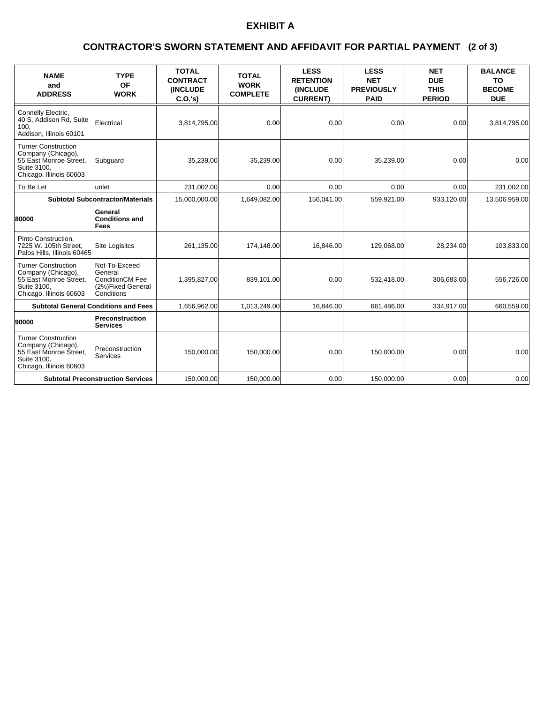# **EXHIBIT A**

### **(2 of 3) CONTRACTOR'S SWORN STATEMENT AND AFFIDAVIT FOR PARTIAL PAYMENT**

| <b>NAME</b><br>and<br><b>ADDRESS</b>                                                                                 | <b>TYPE</b><br><b>OF</b><br><b>WORK</b>                                        | <b>TOTAL</b><br><b>CONTRACT</b><br><b>(INCLUDE)</b><br>C.O.'s | <b>TOTAL</b><br><b>WORK</b><br><b>COMPLETE</b> | <b>LESS</b><br><b>RETENTION</b><br><b>(INCLUDE)</b><br><b>CURRENT)</b> | <b>LESS</b><br><b>NET</b><br><b>PREVIOUSLY</b><br><b>PAID</b> | <b>NET</b><br><b>DUE</b><br><b>THIS</b><br><b>PERIOD</b> | <b>BALANCE</b><br>TO<br><b>BECOME</b><br><b>DUE</b> |
|----------------------------------------------------------------------------------------------------------------------|--------------------------------------------------------------------------------|---------------------------------------------------------------|------------------------------------------------|------------------------------------------------------------------------|---------------------------------------------------------------|----------------------------------------------------------|-----------------------------------------------------|
| Connelly Electric,<br>40 S. Addison Rd, Suite<br>100.<br>Addison, Illinois 60101                                     | Electrical                                                                     | 3,814,795.00                                                  | 0.00                                           | 0.00                                                                   | 0.00                                                          | 0.00                                                     | 3,814,795.00                                        |
| <b>Turner Construction</b><br>Company (Chicago),<br>55 East Monroe Street.<br>Suite 3100.<br>Chicago, Illinois 60603 | Subguard                                                                       | 35,239.00                                                     | 35,239.00                                      | 0.00                                                                   | 35,239.00                                                     | 0.00                                                     | 0.00                                                |
| To Be Let                                                                                                            | unlet                                                                          | 231,002.00                                                    | 0.00                                           | 0.00                                                                   | 0.00                                                          | 0.00                                                     | 231,002.00                                          |
|                                                                                                                      | <b>Subtotal Subcontractor/Materials</b>                                        | 15,000,000.00                                                 | 1,649,082.00                                   | 156,041.00                                                             | 559,921.00                                                    | 933,120.00                                               | 13,506,959.00                                       |
| 80000                                                                                                                | General<br><b>Conditions and</b><br>Fees                                       |                                                               |                                                |                                                                        |                                                               |                                                          |                                                     |
| Pinto Construction,<br>7225 W. 105th Street.<br>Palos Hills, Illinois 60465                                          | Site Logisitcs                                                                 | 261,135.00                                                    | 174,148.00                                     | 16.846.00                                                              | 129,068.00                                                    | 28,234.00                                                | 103,833.00                                          |
| <b>Turner Construction</b><br>Company (Chicago),<br>55 East Monroe Street,<br>Suite 3100.<br>Chicago, Illinois 60603 | Not-To-Exceed<br>General<br>ConditionCM Fee<br>(2%)Fixed General<br>Conditions | 1,395,827.00                                                  | 839,101.00                                     | 0.00                                                                   | 532,418.00                                                    | 306,683.00                                               | 556,726.00                                          |
| <b>Subtotal General Conditions and Fees</b>                                                                          |                                                                                | 1,656,962.00                                                  | 1,013,249.00                                   | 16.846.00                                                              | 661,486.00                                                    | 334,917.00                                               | 660,559.00                                          |
| 90000                                                                                                                | Preconstruction<br><b>Services</b>                                             |                                                               |                                                |                                                                        |                                                               |                                                          |                                                     |
| <b>Turner Construction</b><br>Company (Chicago),<br>55 East Monroe Street,<br>Suite 3100.<br>Chicago, Illinois 60603 | Preconstruction<br>Services                                                    | 150,000.00                                                    | 150,000.00                                     | 0.00                                                                   | 150,000.00                                                    | 0.00                                                     | 0.00                                                |
|                                                                                                                      | <b>Subtotal Preconstruction Services</b>                                       | 150,000.00                                                    | 150,000.00                                     | 0.00                                                                   | 150,000.00                                                    | 0.00                                                     | 0.00                                                |